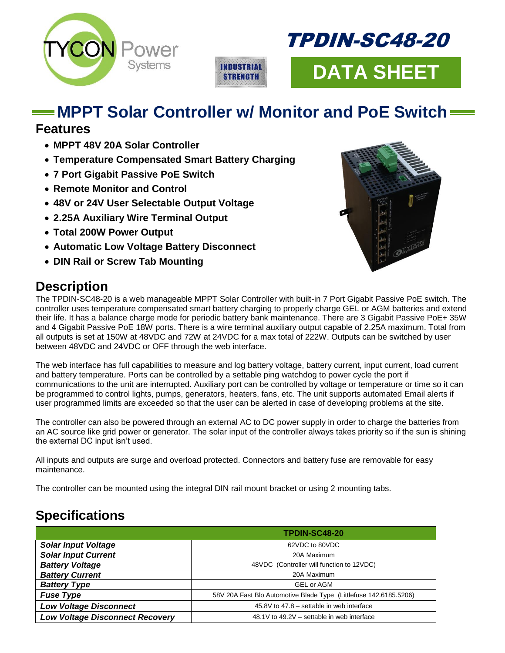



**DATA SHEET**

# **MPPT Solar Controller w/ Monitor and PoE Switch**

**INDUSTRIAL STRENGTH** 

#### **Features**

- **MPPT 48V 20A Solar Controller**
- **Temperature Compensated Smart Battery Charging**
- **7 Port Gigabit Passive PoE Switch**
- **Remote Monitor and Control**
- **48V or 24V User Selectable Output Voltage**
- **2.25A Auxiliary Wire Terminal Output**
- **Total 200W Power Output**
- **Automatic Low Voltage Battery Disconnect**
- **DIN Rail or Screw Tab Mounting**



### **Description**

The TPDIN-SC48-20 is a web manageable MPPT Solar Controller with built-in 7 Port Gigabit Passive PoE switch. The controller uses temperature compensated smart battery charging to properly charge GEL or AGM batteries and extend their life. It has a balance charge mode for periodic battery bank maintenance. There are 3 Gigabit Passive PoE+ 35W and 4 Gigabit Passive PoE 18W ports. There is a wire terminal auxiliary output capable of 2.25A maximum. Total from all outputs is set at 150W at 48VDC and 72W at 24VDC for a max total of 222W. Outputs can be switched by user between 48VDC and 24VDC or OFF through the web interface.

The web interface has full capabilities to measure and log battery voltage, battery current, input current, load current and battery temperature. Ports can be controlled by a settable ping watchdog to power cycle the port if communications to the unit are interrupted. Auxiliary port can be controlled by voltage or temperature or time so it can be programmed to control lights, pumps, generators, heaters, fans, etc. The unit supports automated Email alerts if user programmed limits are exceeded so that the user can be alerted in case of developing problems at the site.

The controller can also be powered through an external AC to DC power supply in order to charge the batteries from an AC source like grid power or generator. The solar input of the controller always takes priority so if the sun is shining the external DC input isn't used.

All inputs and outputs are surge and overload protected. Connectors and battery fuse are removable for easy maintenance.

The controller can be mounted using the integral DIN rail mount bracket or using 2 mounting tabs.

## **Specifications**

|                                        | TPDIN-SC48-20                                                     |  |  |  |  |
|----------------------------------------|-------------------------------------------------------------------|--|--|--|--|
| <b>Solar Input Voltage</b>             | 62VDC to 80VDC                                                    |  |  |  |  |
| <b>Solar Input Current</b>             | 20A Maximum                                                       |  |  |  |  |
| <b>Battery Voltage</b>                 | 48VDC (Controller will function to 12VDC)                         |  |  |  |  |
| <b>Battery Current</b>                 | 20A Maximum                                                       |  |  |  |  |
| <b>Battery Type</b>                    | <b>GEL or AGM</b>                                                 |  |  |  |  |
| <b>Fuse Type</b>                       | 58V 20A Fast Blo Automotive Blade Type (Littlefuse 142.6185.5206) |  |  |  |  |
| <b>Low Voltage Disconnect</b>          | 45.8V to 47.8 – settable in web interface                         |  |  |  |  |
| <b>Low Voltage Disconnect Recovery</b> | 48.1V to 49.2V – settable in web interface                        |  |  |  |  |